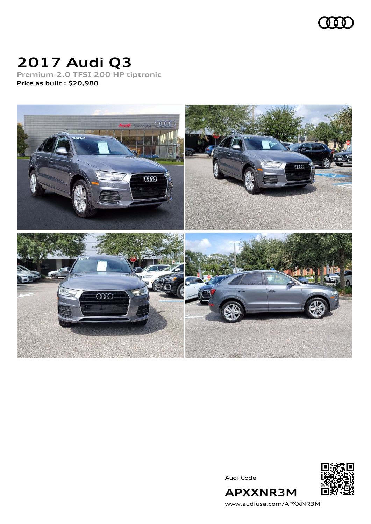

# **2017 Audi Q3**

**Premium 2.0 TFSI 200 HP tiptronic Price as built [:](#page-9-0) \$20,980**



Audi Code



[www.audiusa.com/APXXNR3M](https://www.audiusa.com/APXXNR3M)

**APXXNR3M**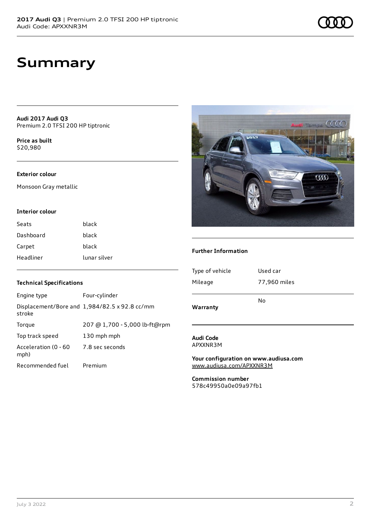**Audi 2017 Audi Q3** Premium 2.0 TFSI 200 HP tiptronic

**Price as buil[t](#page-9-0)** \$20,980

#### **Exterior colour**

Monsoon Gray metallic

#### **Interior colour**

| Seats     | black        |
|-----------|--------------|
| Dashboard | black        |
| Carpet    | black        |
| Headliner | lunar silver |

#### **Technical Specifications**

| Engine type                  | Four-cylinder                                 |
|------------------------------|-----------------------------------------------|
| stroke                       | Displacement/Bore and 1,984/82.5 x 92.8 cc/mm |
| Torque                       | 207 @ 1,700 - 5,000 lb-ft@rpm                 |
| Top track speed              | 130 mph mph                                   |
| Acceleration (0 - 60<br>mph) | 7.8 sec seconds                               |
| Recommended fuel             | Premium                                       |



#### **Further Information**

| Warranty        |              |
|-----------------|--------------|
|                 | No           |
| Mileage         | 77,960 miles |
| Type of vehicle | Used car     |
|                 |              |

**Audi Code** APXXNR3M

**Your configuration on www.audiusa.com** [www.audiusa.com/APXXNR3M](https://www.audiusa.com/APXXNR3M)

**Commission number** 578c49950a0e09a97fb1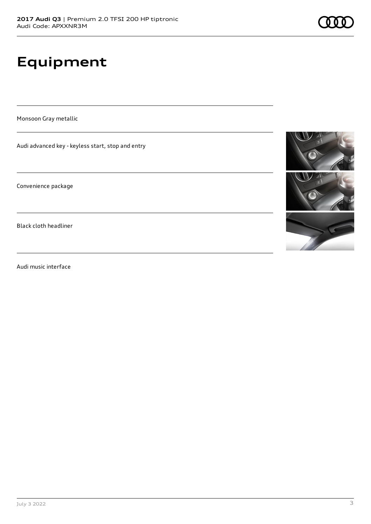# **Equipment**

Monsoon Gray metallic

Audi advanced key - keyless start, stop and entry

Convenience package

Black cloth headliner

Audi music interface



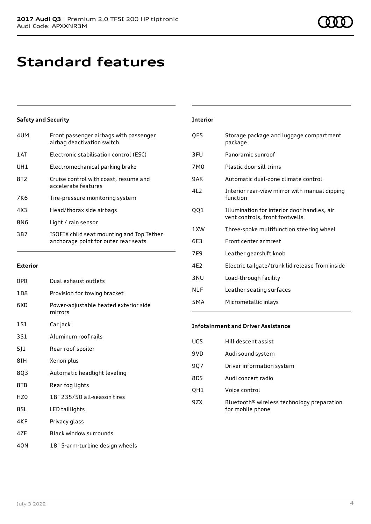### **Standard features**

#### **Safety and Security**

| 4UM        | Front passenger airbags with passenger<br>airbag deactivation switch              |
|------------|-----------------------------------------------------------------------------------|
| 1 AT       | Electronic stabilisation control (ESC)                                            |
| UH1        | Electromechanical parking brake                                                   |
| 8T2        | Cruise control with coast, resume and<br>accelerate features                      |
| <b>7K6</b> | Tire-pressure monitoring system                                                   |
| 4X3        | Head/thorax side airbags                                                          |
| 8N6        | Light / rain sensor                                                               |
| 3B7        | ISOFIX child seat mounting and Top Tether<br>anchorage point for outer rear seats |

#### **Exterior**

| 0PO             | Dual exhaust outlets                             |
|-----------------|--------------------------------------------------|
| 1D8             | Provision for towing bracket                     |
| 6XD             | Power-adjustable heated exterior side<br>mirrors |
| 1S1             | Car jack                                         |
| 351             | Aluminum roof rails                              |
| 5]1             | Rear roof spoiler                                |
| 8IH             | Xenon plus                                       |
| 8Q3             | Automatic headlight leveling                     |
| 8TB             | Rear fog lights                                  |
| HZ <sub>0</sub> | 18" 235/50 all-season tires                      |
| 8SL             | LED taillights                                   |
| 4KF             | Privacy glass                                    |
| 4ZE             | <b>Black window surrounds</b>                    |
| 40N             | 18" 5-arm-turbine design wheels                  |

### **Interior** QE5 Storage package and luggage compartment package 3FU Panoramic sunroof 7M0 Plastic door sill trims 9AK Automatic dual-zone climate control 4L2 Interior rear-view mirror with manual dipping function QQ1 Illumination for interior door handles, air vent controls, front footwells 1XW Three-spoke multifunction steering wheel 6E3 Front center armrest 7F9 Leather gearshift knob 4E2 Electric tailgate/trunk lid release from inside 3NU Load-through facility N1F Leather seating surfaces 5MA Micrometallic inlays

#### **Infotainment and Driver Assistance**

| UG5 | Hill descent assist                                                        |
|-----|----------------------------------------------------------------------------|
| 9VD | Audi sound system                                                          |
| 907 | Driver information system                                                  |
| 8DS | Audi concert radio                                                         |
| QH1 | Voice control                                                              |
| 9ZX | Bluetooth <sup>®</sup> wireless technology preparation<br>for mobile phone |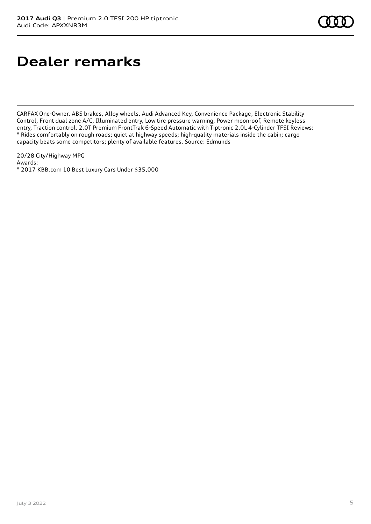## **Dealer remarks**

CARFAX One-Owner. ABS brakes, Alloy wheels, Audi Advanced Key, Convenience Package, Electronic Stability Control, Front dual zone A/C, Illuminated entry, Low tire pressure warning, Power moonroof, Remote keyless entry, Traction control. 2.0T Premium FrontTrak 6-Speed Automatic with Tiptronic 2.0L 4-Cylinder TFSI Reviews: \* Rides comfortably on rough roads; quiet at highway speeds; high-quality materials inside the cabin; cargo capacity beats some competitors; plenty of available features. Source: Edmunds

20/28 City/Highway MPG Awards: \* 2017 KBB.com 10 Best Luxury Cars Under \$35,000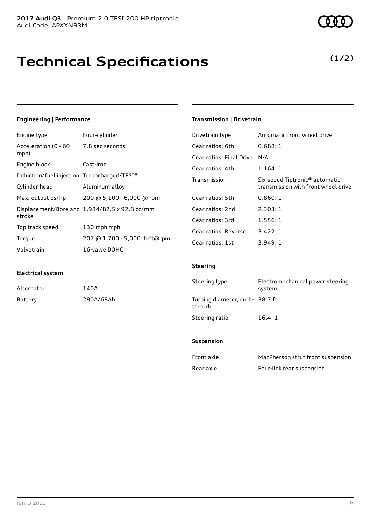### **Technical Specifications**

#### **Engineering | Performance**

**Electrical system**

Alternator 140A

Battery 280A/68Ah

| Engine type                                  | Four-cylinder                                 |
|----------------------------------------------|-----------------------------------------------|
| Acceleration (0 - 60 7.8 sec seconds<br>mph) |                                               |
| Engine block                                 | Cast-iron                                     |
| Induction/fuel injection Turbocharged/TFSI®  |                                               |
| Cylinder head                                | Aluminum-alloy                                |
| Max. output ps/hp                            | 200 @ 5,100 - 6,000 @ rpm                     |
| stroke                                       | Displacement/Bore and 1,984/82.5 x 92.8 cc/mm |
| Top track speed                              | 130 mph mph                                   |
| Torque                                       | 207 @ 1,700 - 5,000 lb-ft@rpm                 |
| Valvetrain                                   | 16-valve DOHC                                 |

#### **Transmission | Drivetrain**

| Drivetrain type          | Automatic front wheel drive                                                       |
|--------------------------|-----------------------------------------------------------------------------------|
| Gear ratios: 6th         | 0.688:1                                                                           |
| Gear ratios: Final Drive | N/A                                                                               |
| Gear ratios: 4th         | 1.164:1                                                                           |
| Transmission             | Six-speed Tiptronic <sup>®</sup> automatic<br>transmission with front wheel drive |
| Gear ratios: 5th         | 0.860:1                                                                           |
| Gear ratios: 2nd         | 2.303:1                                                                           |
| Gear ratios: 3rd         | 1.556:1                                                                           |
| Gear ratios: Reverse     | 3.422:1                                                                           |
| Gear ratios: 1st         | 3.949: 1                                                                          |

#### **Steering**

| Steering type                              | Electromechanical power steering<br>system |
|--------------------------------------------|--------------------------------------------|
| Turning diameter, curb- 38.7 ft<br>to-curb |                                            |
| Steering ratio                             | 16.4:1                                     |

#### **Suspension**

| Front axle | MacPherson strut front suspension |
|------------|-----------------------------------|
| Rear axle  | Four-link rear suspension         |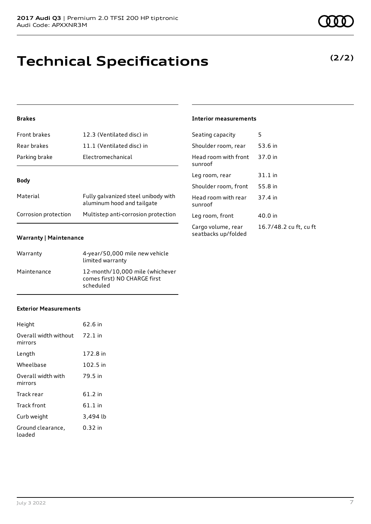## **Technical Specifications**

#### **Brakes**

| Front brakes         | 12.3 (Ventilated disc) in                                         |
|----------------------|-------------------------------------------------------------------|
| Rear brakes          | 11.1 (Ventilated disc) in                                         |
| Parking brake        | Electromechanical                                                 |
| <b>Body</b>          |                                                                   |
| Material             | Fully galvanized steel unibody with<br>aluminum hood and tailgate |
| Corrosion protection | Multistep anti-corrosion protection                               |

#### **Warranty | Maintenance**

| Warranty    | 4-year/50,000 mile new vehicle<br>limited warranty                           |
|-------------|------------------------------------------------------------------------------|
| Maintenance | 12-month/10,000 mile (whichever<br>comes first) NO CHARGE first<br>scheduled |

#### **Exterior Measurements**

| Height                           | 62.6 in   |
|----------------------------------|-----------|
| Overall width without<br>mirrors | 72.1 in   |
| Length                           | 172.8 in  |
| Wheelbase                        | 102.5 in  |
| Overall width with<br>mirrors    | 79.5 in   |
| Track rear                       | $61.2$ in |
| Track front                      | 61.1 in   |
| Curb weight                      | 3,494 lb  |
| Ground clearance,<br>loaded      | 0.32 in   |

#### **Interior measurements**

| Seating capacity                          | 5                      |
|-------------------------------------------|------------------------|
| Shoulder room, rear                       | 53.6 in                |
| Head room with front<br>sunroof           | 37.0 in                |
| Leg room, rear                            | $31.1$ in              |
| Shoulder room, front                      | 55.8 in                |
| Head room with rear<br>sunroof            | 37.4 in                |
| Leg room, front                           | 40.0 in                |
| Cargo volume, rear<br>seatbacks up/folded | 16.7/48.2 cu ft, cu ft |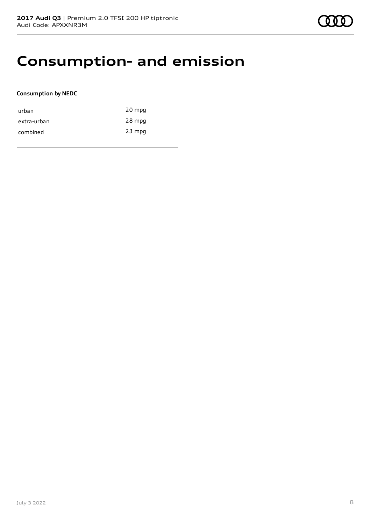### **Consumption- and emission**

#### **Consumption by NEDC**

| urban       | 20 mpg   |
|-------------|----------|
| extra-urban | 28 mpg   |
| combined    | $23$ mpg |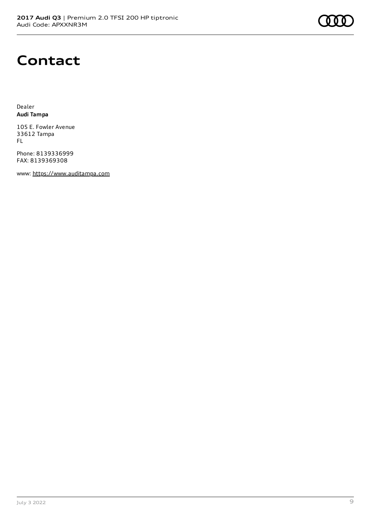

### **Contact**

Dealer **Audi Tampa**

105 E. Fowler Avenue 33612 Tampa FL

Phone: 8139336999 FAX: 8139369308

www: [https://www.auditampa.com](https://www.auditampa.com/)